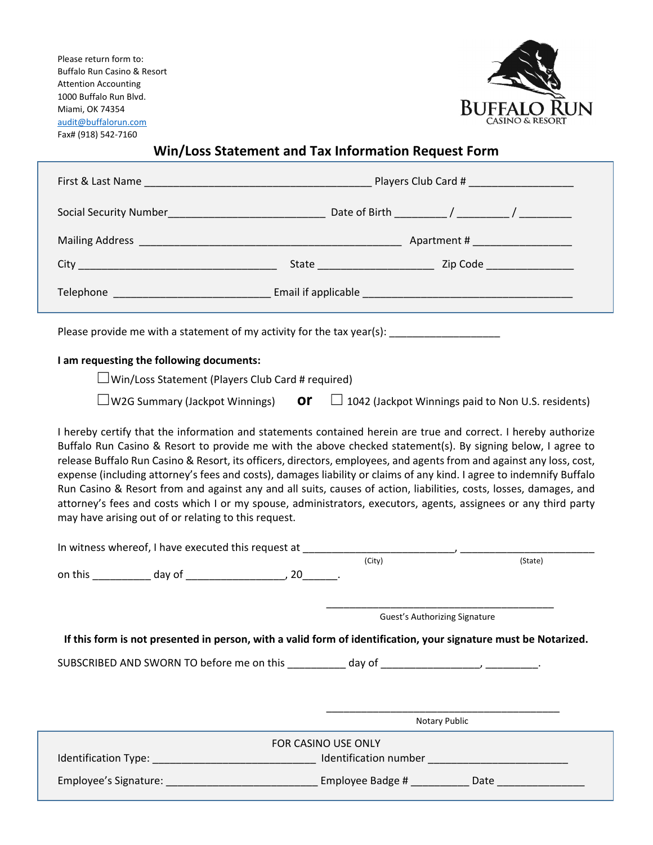Please return form to: Buffalo Run Casino & Resort Attention Accounting 1000 Buffalo Run Blvd. Miami, OK 74354 audit@buffalorun.com Fax# (918) 542‐7160



# **Win/Loss Statement and Tax Information Request Form**

| Please provide me with a statement of my activity for the tax year(s): _________________                                                                                                                                                                                                                                                                                                                                                                                                                                                                                                                                                                                                                                                                                                            |                                                                     |  |  |  |
|-----------------------------------------------------------------------------------------------------------------------------------------------------------------------------------------------------------------------------------------------------------------------------------------------------------------------------------------------------------------------------------------------------------------------------------------------------------------------------------------------------------------------------------------------------------------------------------------------------------------------------------------------------------------------------------------------------------------------------------------------------------------------------------------------------|---------------------------------------------------------------------|--|--|--|
| I am requesting the following documents:                                                                                                                                                                                                                                                                                                                                                                                                                                                                                                                                                                                                                                                                                                                                                            |                                                                     |  |  |  |
| $\Box$ Win/Loss Statement (Players Club Card # required)                                                                                                                                                                                                                                                                                                                                                                                                                                                                                                                                                                                                                                                                                                                                            |                                                                     |  |  |  |
| $\Box$ W2G Summary (Jackpot Winnings)                                                                                                                                                                                                                                                                                                                                                                                                                                                                                                                                                                                                                                                                                                                                                               | <b>Or</b> $\Box$ 1042 (Jackpot Winnings paid to Non U.S. residents) |  |  |  |
| I hereby certify that the information and statements contained herein are true and correct. I hereby authorize<br>Buffalo Run Casino & Resort to provide me with the above checked statement(s). By signing below, I agree to<br>release Buffalo Run Casino & Resort, its officers, directors, employees, and agents from and against any loss, cost,<br>expense (including attorney's fees and costs), damages liability or claims of any kind. I agree to indemnify Buffalo<br>Run Casino & Resort from and against any and all suits, causes of action, liabilities, costs, losses, damages, and<br>attorney's fees and costs which I or my spouse, administrators, executors, agents, assignees or any third party<br>may have arising out of or relating to this request.<br>(City)<br>(State) |                                                                     |  |  |  |
| Guest's Authorizing Signature                                                                                                                                                                                                                                                                                                                                                                                                                                                                                                                                                                                                                                                                                                                                                                       |                                                                     |  |  |  |
| If this form is not presented in person, with a valid form of identification, your signature must be Notarized.                                                                                                                                                                                                                                                                                                                                                                                                                                                                                                                                                                                                                                                                                     |                                                                     |  |  |  |
|                                                                                                                                                                                                                                                                                                                                                                                                                                                                                                                                                                                                                                                                                                                                                                                                     |                                                                     |  |  |  |
|                                                                                                                                                                                                                                                                                                                                                                                                                                                                                                                                                                                                                                                                                                                                                                                                     | Notary Public                                                       |  |  |  |
| FOR CASINO USE ONLY                                                                                                                                                                                                                                                                                                                                                                                                                                                                                                                                                                                                                                                                                                                                                                                 |                                                                     |  |  |  |
|                                                                                                                                                                                                                                                                                                                                                                                                                                                                                                                                                                                                                                                                                                                                                                                                     |                                                                     |  |  |  |
|                                                                                                                                                                                                                                                                                                                                                                                                                                                                                                                                                                                                                                                                                                                                                                                                     |                                                                     |  |  |  |